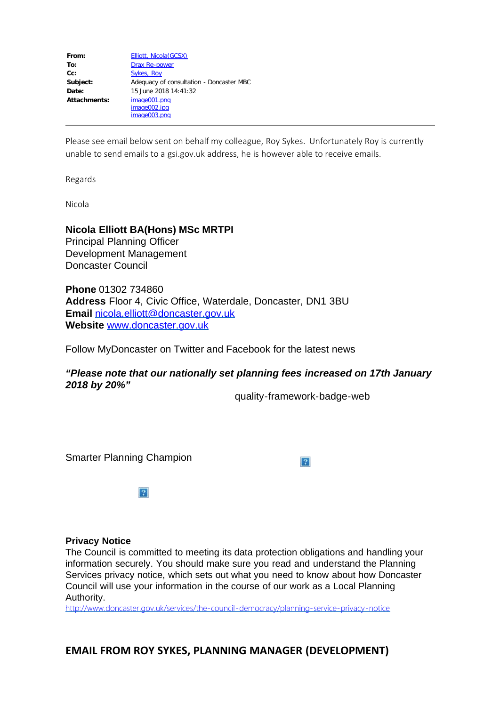| From:               | <b>Elliott, Nicola (GCSX)</b>            |
|---------------------|------------------------------------------|
| To:                 | <b>Drax Re-power</b>                     |
| Cc:                 | <b>Sykes, Roy</b>                        |
| Subject:            | Adequacy of consultation - Doncaster MBC |
| Date:               | 15 June 2018 14:41:32                    |
| <b>Attachments:</b> | image001.png                             |
|                     | image002.jpg                             |
|                     | image003.png                             |

Please see email below sent on behalf my colleague, Roy Sykes. Unfortunately Roy is currently unable to send emails to a gsi.gov.uk address, he is however able to receive emails.

Regards

Nicola

## **Nicola Elliott BA(Hons) MSc MRTPI**

Principal Planning Officer Development Management Doncaster Council

**Phone** 01302 734860 **Address** Floor 4, Civic Office, Waterdale, Doncaster, DN1 3BU **Email** [nicola.elliott@doncaster.gov.uk](mailto:nicola.elliott@doncaster.gov.uk) **Website** [www.doncaster.gov.uk](http://www.doncaster.gov.uk/) 

Follow MyDoncaster on Twitter and Facebook for the latest news

*"Please note that our nationally set planning fees increased on 17th January 2018 by 20%"*

quality-framework-badge-web

Smarter Planning Champion

 $|2|$ 

 $\overline{P}$ 

### **Privacy Notice**

The Council is committed to meeting its data protection obligations and handling your information securely. You should make sure you read and understand the Planning Services privacy notice, which sets out what you need to know about how Doncaster Council will use your information in the course of our work as a Local Planning Authority.

<http://www.doncaster.gov.uk/services/the-council-democracy/planning-service-privacy-notice>

**EMAIL FROM ROY SYKES, PLANNING MANAGER (DEVELOPMENT)**